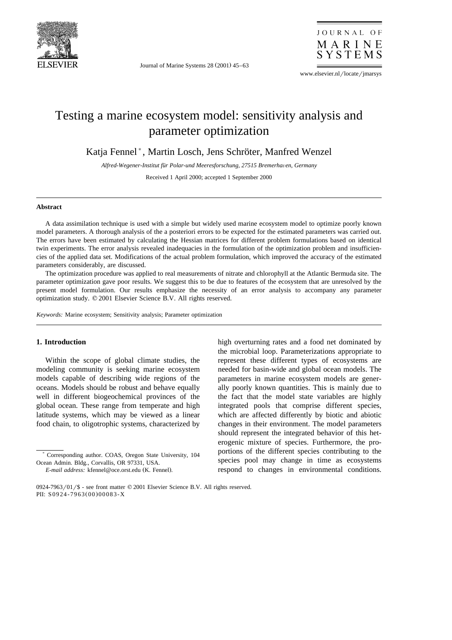

Journal of Marine Systems  $28(2001)$  45–63

JOURNAL OF MARINE SYSTEMS

www.elsevier.nl/locate/jmarsys

# Testing a marine ecosystem model: sensitivity analysis and parameter optimization

Katja Fennel\*, Martin Losch, Jens Schröter, Manfred Wenzel

Alfred-Wegener-Institut für Polar-und Meeresforschung, 27515 Bremerhaven, Germany

Received 1 April 2000; accepted 1 September 2000

### **Abstract**

A data assimilation technique is used with a simple but widely used marine ecosystem model to optimize poorly known model parameters. A thorough analysis of the a posteriori errors to be expected for the estimated parameters was carried out. The errors have been estimated by calculating the Hessian matrices for different problem formulations based on identical twin experiments. The error analysis revealed inadequacies in the formulation of the optimization problem and insufficiencies of the applied data set. Modifications of the actual problem formulation, which improved the accuracy of the estimated parameters considerably, are discussed.

The optimization procedure was applied to real measurements of nitrate and chlorophyll at the Atlantic Bermuda site. The parameter optimization gave poor results. We suggest this to be due to features of the ecosystem that are unresolved by the present model formulation. Our results emphasize the necessity of an error analysis to accompany any parameter optimization study.  $© 2001$  Elsevier Science B.V. All rights reserved.

*Keywords:* Marine ecosystem; Sensitivity analysis; Parameter optimization

### **1. Introduction**

Within the scope of global climate studies, the modeling community is seeking marine ecosystem models capable of describing wide regions of the oceans. Models should be robust and behave equally well in different biogeochemical provinces of the global ocean. These range from temperate and high latitude systems, which may be viewed as a linear food chain, to oligotrophic systems, characterized by

) Corresponding author. COAS, Oregon State University, 104 Ocean Admin. Bldg., Corvallis, OR 97331, USA.

high overturning rates and a food net dominated by the microbial loop. Parameterizations appropriate to represent these different types of ecosystems are needed for basin-wide and global ocean models. The parameters in marine ecosystem models are generally poorly known quantities. This is mainly due to the fact that the model state variables are highly integrated pools that comprise different species, which are affected differently by biotic and abiotic changes in their environment. The model parameters should represent the integrated behavior of this heterogenic mixture of species. Furthermore, the proportions of the different species contributing to the species pool may change in time as ecosystems respond to changes in environmental conditions.

*E-mail address:* kfennel@oce.orst.edu (K. Fennel).

<sup>0924-7963/01/\$ -</sup> see front matter  $© 2001$  Elsevier Science B.V. All rights reserved. PII: S0924-7963(00)00083-X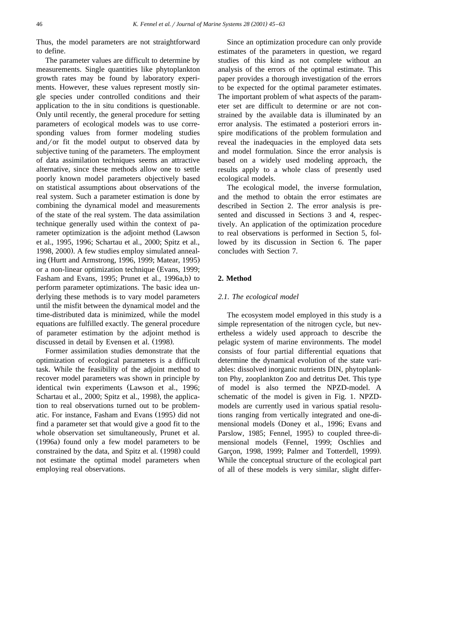Thus, the model parameters are not straightforward to define.

The parameter values are difficult to determine by measurements. Single quantities like phytoplankton growth rates may be found by laboratory experiments. However, these values represent mostly single species under controlled conditions and their application to the in situ conditions is questionable. Only until recently, the general procedure for setting parameters of ecological models was to use corresponding values from former modeling studies and/or fit the model output to observed data by subjective tuning of the parameters. The employment of data assimilation techniques seems an attractive alternative, since these methods allow one to settle poorly known model parameters objectively based on statistical assumptions about observations of the real system. Such a parameter estimation is done by combining the dynamical model and measurements of the state of the real system. The data assimilation technique generally used within the context of parameter optimization is the adjoint method (Lawson et al., 1995, 1996; Schartau et al., 2000; Spitz et al., 1998, 2000). A few studies employ simulated annealing (Hurtt and Armstrong, 1996, 1999; Matear, 1995) or a non-linear optimization technique (Evans, 1999; Fasham and Evans, 1995; Prunet et al., 1996a,b) to perform parameter optimizations. The basic idea underlying these methods is to vary model parameters until the misfit between the dynamical model and the time-distributed data is minimized, while the model equations are fulfilled exactly. The general procedure of parameter estimation by the adjoint method is discussed in detail by Evensen et al. (1998).

Former assimilation studies demonstrate that the optimization of ecological parameters is a difficult task. While the feasibility of the adjoint method to recover model parameters was shown in principle by identical twin experiments (Lawson et al., 1996; Schartau et al., 2000; Spitz et al., 1998), the application to real observations turned out to be problematic. For instance, Fasham and Evans (1995) did not find a parameter set that would give a good fit to the whole observation set simultaneously, Prunet et al.  $(1996a)$  found only a few model parameters to be constrained by the data, and Spitz et al. (1998) could not estimate the optimal model parameters when employing real observations.

Since an optimization procedure can only provide estimates of the parameters in question, we regard studies of this kind as not complete without an analysis of the errors of the optimal estimate. This paper provides a thorough investigation of the errors to be expected for the optimal parameter estimates. The important problem of what aspects of the parameter set are difficult to determine or are not constrained by the available data is illuminated by an error analysis. The estimated a posteriori errors inspire modifications of the problem formulation and reveal the inadequacies in the employed data sets and model formulation. Since the error analysis is based on a widely used modeling approach, the results apply to a whole class of presently used ecological models.

The ecological model, the inverse formulation, and the method to obtain the error estimates are described in Section 2. The error analysis is presented and discussed in Sections 3 and 4, respectively. An application of the optimization procedure to real observations is performed in Section 5, followed by its discussion in Section 6. The paper concludes with Section 7.

## **2. Method**

### *2.1. The ecological model*

The ecosystem model employed in this study is a simple representation of the nitrogen cycle, but nevertheless a widely used approach to describe the pelagic system of marine environments. The model consists of four partial differential equations that determine the dynamical evolution of the state variables: dissolved inorganic nutrients DIN, phytoplankton Phy, zooplankton Zoo and detritus Det. This type of model is also termed the NPZD-model. A schematic of the model is given in Fig. 1. NPZDmodels are currently used in various spatial resolutions ranging from vertically integrated and one-dimensional models (Doney et al., 1996; Evans and Parslow, 1985; Fennel, 1995) to coupled three-dimensional models (Fennel, 1999; Oschlies and Garçon, 1998, 1999; Palmer and Totterdell, 1999). While the conceptual structure of the ecological part of all of these models is very similar, slight differ-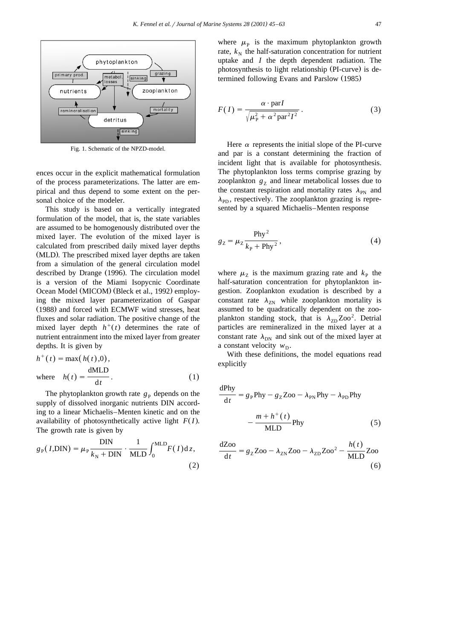

Fig. 1. Schematic of the NPZD-model.

ences occur in the explicit mathematical formulation of the process parameterizations. The latter are empirical and thus depend to some extent on the personal choice of the modeler.

This study is based on a vertically integrated formulation of the model, that is, the state variables are assumed to be homogenously distributed over the mixed layer. The evolution of the mixed layer is calculated from prescribed daily mixed layer depths (MLD). The prescribed mixed layer depths are taken from a simulation of the general circulation model described by Drange (1996). The circulation model is a version of the Miami Isopycnic Coordinate Ocean Model (MICOM) (Bleck et al., 1992) employing the mixed layer parameterization of Gaspar (1988) and forced with ECMWF wind stresses, heat fluxes and solar radiation. The positive change of the mixed layer depth  $h<sup>+</sup>(t)$  determines the rate of nutrient entrainment into the mixed layer from greater depths. It is given by

$$
h^{+}(t) = \max(h(t), 0),
$$
  
where  $h(t) = \frac{dMLD}{dt}$ . (1)

The phytoplankton growth rate  $g<sub>P</sub>$  depends on the supply of dissolved inorganic nutrients DIN according to a linear Michaelis–Menten kinetic and on the availability of photosynthetically active light  $F(I)$ . The growth rate is given by

$$
g_{\rm p}(I, \text{DIN}) = \mu_{\rm p} \frac{\text{DIN}}{k_{\rm N} + \text{DIN}} \cdot \frac{1}{\text{MLD}} \int_0^{\text{MLD}} F(I) \text{d} z,
$$
\n(2)

where  $\mu_{\rm p}$  is the maximum phytoplankton growth rate,  $k_{\rm N}$  the half-saturation concentration for nutrient uptake and *I* the depth dependent radiation. The photosynthesis to light relationship (PI-curve) is determined following Evans and Parslow (1985)

$$
F(I) = \frac{\alpha \cdot \text{par} I}{\sqrt{\mu_{\text{P}}^2 + \alpha^2 \text{par}^2 I^2}}.
$$
 (3)

Here  $\alpha$  represents the initial slope of the PI-curve and par is a constant determining the fraction of incident light that is available for photosynthesis. The phytoplankton loss terms comprise grazing by zooplankton  $g<sub>z</sub>$  and linear metabolical losses due to the constant respiration and mortality rates  $\lambda_{\text{PN}}$  and  $\lambda_{\rm PD}$ , respectively. The zooplankton grazing is represented by a squared Michaelis–Menten response

$$
g_Z = \mu_Z \frac{\text{Phy}^2}{k_\text{P} + \text{Phy}^2},\tag{4}
$$

where  $\mu$ <sub>z</sub> is the maximum grazing rate and  $k$ <sub>P</sub> the half-saturation concentration for phytoplankton ingestion. Zooplankton exudation is described by a constant rate  $\lambda_{ZN}$  while zooplankton mortality is assumed to be quadratically dependent on the zooplankton standing stock, that is  $\lambda_{\text{ZD}}\text{Zoo}^2$ . Detrial particles are remineralized in the mixed layer at a constant rate  $\lambda_{\rm DN}$  and sink out of the mixed layer at a constant velocity  $w_{\rm D}$ .

With these definitions, the model equations read explicitly

$$
\frac{dPhy}{dt} = g_P Phy - g_Z Zoo - \lambda_{PN} Phy - \lambda_{PD} Phy
$$

$$
-\frac{m + h^+(t)}{MLD} Phy \tag{5}
$$

$$
\frac{dZ_{00}}{dt} = g_Z Z_{00} - \lambda_{ZN} Z_{00} - \lambda_{ZD} Z_{00}^2 - \frac{h(t)}{MLD} Z_{00}
$$
\n(6)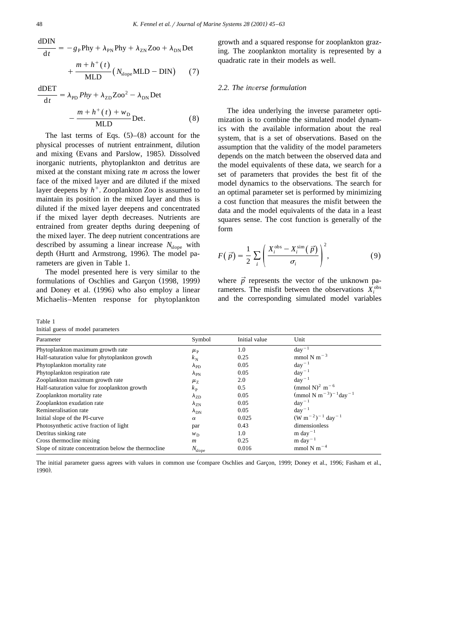$$
\frac{1}{\sqrt{1+t}}
$$

$$
\frac{\text{dDIN}}{\text{d}t} = -g_P \text{Phy} + \lambda_{PN} \text{Phy} + \lambda_{ZN} \text{Zoo} + \lambda_{DN} \text{Det}
$$

$$
+\frac{m+h^+(t)}{MLD}\big(N_{\text{slope}}MLD-DIN\big)\qquad(7)
$$

$$
\frac{dDET}{dt} = \lambda_{\text{PD}} Phy + \lambda_{\text{ZD}} \text{Zoo}^2 - \lambda_{\text{DN}} \text{Det}
$$

$$
-\frac{m + h^+(t) + w_{\text{D}}}{\text{MLD}} \text{Det.}
$$
(8)

The last terms of Eqs.  $(5)$ – $(8)$  account for the physical processes of nutrient entrainment, dilution and mixing (Evans and Parslow, 1985). Dissolved inorganic nutrients, phytoplankton and detritus are mixed at the constant mixing rate *m* across the lower face of the mixed layer and are diluted if the mixed layer deepens by  $h^+$ . Zooplankton Zoo is assumed to maintain its position in the mixed layer and thus is diluted if the mixed layer deepens and concentrated if the mixed layer depth decreases. Nutrients are entrained from greater depths during deepening of the mixed layer. The deep nutrient concentrations are described by assuming a linear increase  $N_{\text{slope}}$  with depth (Hurtt and Armstrong, 1996). The model parameters are given in Table 1.

The model presented here is very similar to the formulations of Oschlies and Garçon (1998, 1999) and Doney et al. (1996) who also employ a linear Michaelis–Menten response for phytoplankton

Table 1

Initial guess of model parameters

growth and a squared response for zooplankton grazing. The zooplankton mortality is represented by a quadratic rate in their models as well.

#### *2.2. The in*Õ*erse formulation*

The idea underlying the inverse parameter optimization is to combine the simulated model dynamics with the available information about the real system, that is a set of observations. Based on the assumption that the validity of the model parameters depends on the match between the observed data and the model equivalents of these data, we search for a set of parameters that provides the best fit of the model dynamics to the observations. The search for an optimal parameter set is performed by minimizing a cost function that measures the misfit between the data and the model equivalents of the data in a least squares sense. The cost function is generally of the form

$$
F(\vec{p}) = \frac{1}{2} \sum_{i} \left( \frac{X_i^{\text{obs}} - X_i^{\text{sim}}(\vec{p})}{\sigma_i} \right)^2, \tag{9}
$$

where  $\vec{p}$  represents the vector of the unknown parameters. The misfit between the observations  $X_i^{\text{obs}}$ and the corresponding simulated model variables

| Parameter                                            | Symbol                | Initial value | Unit                                                      |
|------------------------------------------------------|-----------------------|---------------|-----------------------------------------------------------|
| Phytoplankton maximum growth rate                    | $\mu_{\rm P}$         | 1.0           | $day^{-1}$                                                |
| Half-saturation value for phytoplankton growth       | $k_{\rm N}$           | 0.25          | $mmol N m-3$                                              |
| Phytoplankton mortality rate                         | $\lambda_{\rm PD}$    | 0.05          | $day^{-1}$                                                |
| Phytoplankton respiration rate                       | $\lambda_{\rm PN}$    | 0.05          | $day^{-1}$                                                |
| Zooplankton maximum growth rate                      | $\mu_{Z}$             | 2.0           | $\text{dav}^{-1}$                                         |
| Half-saturation value for zooplankton growth         | $k_{\rm P}$           | 0.5           | (mmol N) <sup>2</sup> m <sup>-6</sup>                     |
| Zooplankton mortality rate                           | $\lambda_{\text{ZD}}$ | 0.05          | (mmol N m <sup>-3</sup> ) <sup>-1</sup> day <sup>-1</sup> |
| Zooplankton exudation rate                           | $\lambda_{\rm ZN}$    | 0.05          | $day^{-1}$                                                |
| Remineralisation rate                                | $\lambda_{\rm DN}$    | 0.05          | $day^{-1}$                                                |
| Initial slope of the PI-curve                        | $\alpha$              | 0.025         | $(W m^{-2})^{-1}$ day <sup>-1</sup>                       |
| Photosynthetic active fraction of light              | par                   | 0.43          | dimensionless                                             |
| Detritus sinking rate                                | $W_{\rm D}$           | 1.0           | m day <sup><math>-1</math></sup>                          |
| Cross thermocline mixing                             | $\boldsymbol{m}$      | 0.25          | m day <sup><math>-1</math></sup>                          |
| Slope of nitrate concentration below the thermocline | $N_{\text{slope}}$    | 0.016         | mmol N m <sup><math>-4</math></sup>                       |

The initial parameter guess agrees with values in common use (compare Oschlies and Garçon, 1999; Doney et al., 1996; Fasham et al., 1990).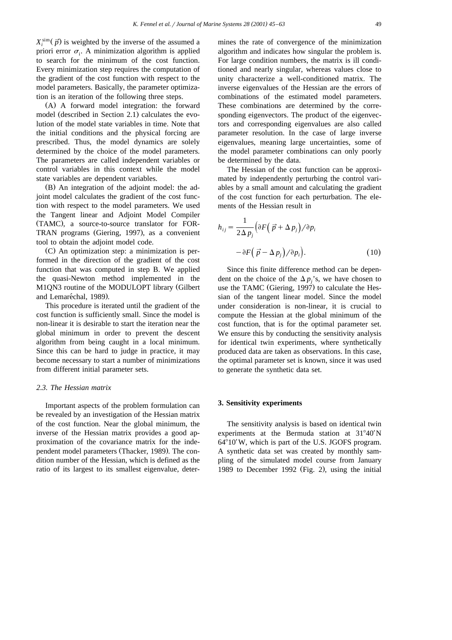$X_i^{\text{sim}}(\vec{p})$  is weighted by the inverse of the assumed a priori error  $\sigma_i$ . A minimization algorithm is applied to search for the minimum of the cost function. Every minimization step requires the computation of the gradient of the cost function with respect to the model parameters. Basically, the parameter optimization is an iteration of the following three steps.

 $(A)$  A forward model integration: the forward model (described in Section 2.1) calculates the evolution of the model state variables in time. Note that the initial conditions and the physical forcing are prescribed. Thus, the model dynamics are solely determined by the choice of the model parameters. The parameters are called independent variables or control variables in this context while the model state variables are dependent variables.

(B) An integration of the adjoint model: the adjoint model calculates the gradient of the cost function with respect to the model parameters. We used the Tangent linear and Adjoint Model Compiler (TAMC), a source-to-source translator for FOR-TRAN programs (Giering, 1997), as a convenient tool to obtain the adjoint model code.

 $(C)$  An optimization step: a minimization is performed in the direction of the gradient of the cost function that was computed in step B. We applied the quasi-Newton method implemented in the M1QN3 routine of the MODULOPT library (Gilbert and Lemaréchal, 1989).

This procedure is iterated until the gradient of the cost function is sufficiently small. Since the model is non-linear it is desirable to start the iteration near the global minimum in order to prevent the descent algorithm from being caught in a local minimum. Since this can be hard to judge in practice, it may become necessary to start a number of minimizations from different initial parameter sets.

### *2.3. The Hessian matrix*

Important aspects of the problem formulation can be revealed by an investigation of the Hessian matrix of the cost function. Near the global minimum, the inverse of the Hessian matrix provides a good approximation of the covariance matrix for the independent model parameters (Thacker, 1989). The condition number of the Hessian, which is defined as the ratio of its largest to its smallest eigenvalue, determines the rate of convergence of the minimization algorithm and indicates how singular the problem is. For large condition numbers, the matrix is ill conditioned and nearly singular, whereas values close to unity characterize a well-conditioned matrix. The inverse eigenvalues of the Hessian are the errors of combinations of the estimated model parameters. These combinations are determined by the corresponding eigenvectors. The product of the eigenvectors and corresponding eigenvalues are also called parameter resolution. In the case of large inverse eigenvalues, meaning large uncertainties, some of the model parameter combinations can only poorly be determined by the data.

The Hessian of the cost function can be approximated by independently perturbing the control variables by a small amount and calculating the gradient of the cost function for each perturbation. The elements of the Hessian result in

$$
h_{ij} = \frac{1}{2\Delta p_j} \left( \partial F \left( \vec{p} + \Delta p_j \right) / \partial p_i \right)
$$

$$
- \partial F \left( \vec{p} - \Delta p_j \right) / \partial p_i \right).
$$
(10)

Since this finite difference method can be dependent on the choice of the  $\Delta p_j$ 's, we have chosen to use the TAMC (Giering, 1997) to calculate the Hessian of the tangent linear model. Since the model under consideration is non-linear, it is crucial to compute the Hessian at the global minimum of the cost function, that is for the optimal parameter set. We ensure this by conducting the sensitivity analysis for identical twin experiments, where synthetically produced data are taken as observations. In this case, the optimal parameter set is known, since it was used to generate the synthetic data set.

### **3. Sensitivity experiments**

The sensitivity analysis is based on identical twin experiments at the Bermuda station at  $31^{\circ}40'$ N  $64^{\circ}10'$  W, which is part of the U.S. JGOFS program. A synthetic data set was created by monthly sampling of the simulated model course from January 1989 to December 1992 (Fig. 2), using the initial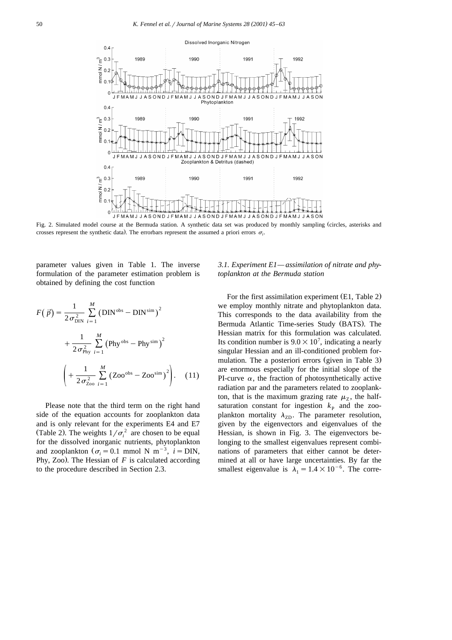

Fig. 2. Simulated model course at the Bermuda station. A synthetic data set was produced by monthly sampling circles, asterisks and Ž crosses represent the synthetic data). The errorbars represent the assumed a priori errors  $\sigma_i$ .

parameter values given in Table 1. The inverse formulation of the parameter estimation problem is obtained by defining the cost function

$$
F(\vec{p}) = \frac{1}{2\sigma_{\text{DIN}}^2} \sum_{i=1}^{M} (\text{DIN}^{\text{obs}} - \text{DIN}^{\text{sim}})^2 + \frac{1}{2\sigma_{\text{Phy}}^2} \sum_{i=1}^{M} (\text{Phy}^{\text{obs}} - \text{Phy}^{\text{sim}})^2 + \frac{1}{2\sigma_{\text{Zo}}^2} \sum_{i=1}^{M} (\text{Zoo}^{\text{obs}} - \text{Zoo}^{\text{sim}})^2.
$$
 (11)

Please note that the third term on the right hand side of the equation accounts for zooplankton data and is only relevant for the experiments E4 and E7 (Table 2). The weights  $1/\sigma_i^2$  are chosen to be equal for the dissolved inorganic nutrients, phytoplankton and zooplankton ( $\sigma_i = 0.1$  mmol N m<sup>-3</sup>,  $i =$ DIN, Phy, Zoo). The Hessian of  $F$  is calculated according to the procedure described in Section 2.3.

## *3.1. Experiment E1— assimilation of nitrate and phytoplankton at the Bermuda station*

For the first assimilation experiment  $(E1, Table 2)$ we employ monthly nitrate and phytoplankton data. This corresponds to the data availability from the Bermuda Atlantic Time-series Study (BATS). The Hessian matrix for this formulation was calculated. Its condition number is  $9.0 \times 10^7$ , indicating a nearly singular Hessian and an ill-conditioned problem formulation. The a posteriori errors (given in Table 3) are enormous especially for the initial slope of the PI-curve  $\alpha$ , the fraction of photosynthetically active radiation par and the parameters related to zooplankton, that is the maximum grazing rate  $\mu_z$ , the halfsaturation constant for ingestion  $k_{\rm P}$  and the zooplankton mortality  $\lambda_{ZD}$ . The parameter resolution, given by the eigenvectors and eigenvalues of the Hessian, is shown in Fig. 3. The eigenvectors belonging to the smallest eigenvalues represent combinations of parameters that either cannot be determined at all or have large uncertainties. By far the smallest eigenvalue is  $\lambda_1 = 1.4 \times 10^{-6}$ . The corre-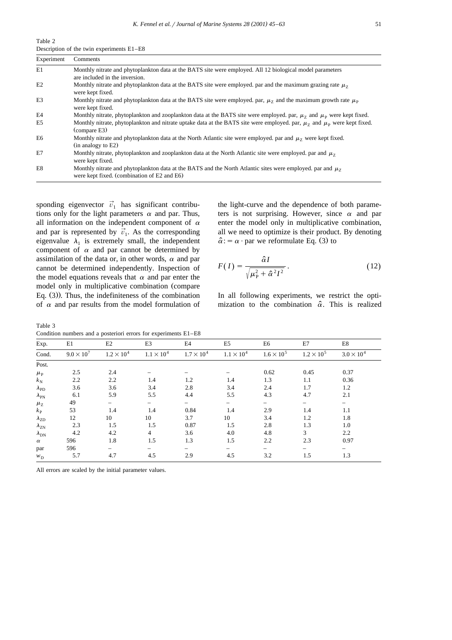Table 2 Description of the twin experiments E1–E8

| Experiment | Comments                                                                                                                                                        |
|------------|-----------------------------------------------------------------------------------------------------------------------------------------------------------------|
| E1         | Monthly nitrate and phytoplankton data at the BATS site were employed. All 12 biological model parameters<br>are included in the inversion.                     |
| E2         | Monthly nitrate and phytoplankton data at the BATS site were employed. par and the maximum grazing rate $\mu_7$<br>were kept fixed.                             |
| E3         | Monthly nitrate and phytoplankton data at the BATS site were employed. par, $\mu_7$ and the maximum growth rate $\mu_{\rm p}$<br>were kept fixed.               |
| E4         | Monthly nitrate, phytoplankton and zooplankton data at the BATS site were employed. par, $\mu$ <sub>7</sub> and $\mu$ <sub>p</sub> were kept fixed.             |
| E5         | Monthly nitrate, phytoplankton and nitrate uptake data at the BATS site were employed. par, $\mu_Z$ and $\mu_P$ were kept fixed.<br>(compare E3)                |
| E6         | Monthly nitrate and phytoplankton data at the North Atlantic site were employed. par and $\mu$ <sub>7</sub> were kept fixed.<br>$(in$ analogy to $E2)$          |
| E7         | Monthly nitrate, phytoplankton and zooplankton data at the North Atlantic site were employed. par and $\mu_{\tau}$<br>were kept fixed.                          |
| E8         | Monthly nitrate and phytoplankton data at the BATS and the North Atlantic sites were employed. par and $\mu_{7}$<br>were kept fixed. (combination of E2 and E6) |

sponding eigenvector  $\vec{v}_1$  has significant contributions only for the light parameters  $\alpha$  and par. Thus, all information on the independent component of  $\alpha$  and par is represented by  $\vec{v}_1$ . As the corresponding eigenvalue  $\lambda_1$  is extremely small, the independent component of  $\alpha$  and par cannot be determined by assimilation of the data or, in other words,  $\alpha$  and par cannot be determined independently. Inspection of the model equations reveals that  $\alpha$  and par enter the model only in multiplicative combination (compare Eq.  $(3)$ ). Thus, the indefiniteness of the combination of  $\alpha$  and par results from the model formulation of

the light-curve and the dependence of both parameters is not surprising. However, since  $\alpha$  and par enter the model only in multiplicative combination, all we need to optimize is their product. By denoting  $\hat{\alpha}$ : =  $\alpha \cdot$  par we reformulate Eq. (3) to

$$
F(I) = \frac{\hat{\alpha}I}{\sqrt{\mu_P^2 + \hat{\alpha}^2 I^2}}.
$$
\n(12)

In all following experiments, we restrict the optimization to the combination  $\hat{\alpha}$ . This is realized

Table 3 Condition numbers and a posteriori errors for experiments E1–E8

| Exp.                  | E1                  | E2                  | E3                  | E4                  | E <sub>5</sub>      | E6                  | E7                  | E8                  |
|-----------------------|---------------------|---------------------|---------------------|---------------------|---------------------|---------------------|---------------------|---------------------|
| Cond.                 | $9.0 \times 10^{7}$ | $1.2 \times 10^{4}$ | $1.1 \times 10^{4}$ | $1.7 \times 10^{4}$ | $1.1 \times 10^{4}$ | $1.6 \times 10^{5}$ | $1.2 \times 10^{5}$ | $3.0 \times 10^{4}$ |
| Post.                 |                     |                     |                     |                     |                     |                     |                     |                     |
| $\mu_{\rm P}$         | 2.5                 | 2.4                 |                     |                     |                     | 0.62                | 0.45                | 0.37                |
| $k_{\rm N}$           | 2.2                 | 2.2                 | 1.4                 | 1.2                 | 1.4                 | 1.3                 | 1.1                 | 0.36                |
| $\lambda_{\text{PD}}$ | 3.6                 | 3.6                 | 3.4                 | 2.8                 | 3.4                 | 2.4                 | 1.7                 | 1.2                 |
| $\lambda_{\rm PN}$    | 6.1                 | 5.9                 | 5.5                 | 4.4                 | 5.5                 | 4.3                 | 4.7                 | 2.1                 |
| $\mu_{\rm Z}$         | 49                  |                     |                     |                     |                     |                     |                     |                     |
| $k_{\rm P}$           | 53                  | 1.4                 | 1.4                 | 0.84                | 1.4                 | 2.9                 | 1.4                 | 1.1                 |
| $\lambda_{\text{ZD}}$ | 12                  | 10                  | 10                  | 3.7                 | 10                  | 3.4                 | 1.2                 | 1.8                 |
| $\lambda_{\rm ZN}$    | 2.3                 | 1.5                 | 1.5                 | 0.87                | 1.5                 | 2.8                 | 1.3                 | 1.0                 |
| $\lambda_{\rm DN}$    | 4.2                 | 4.2                 | $\overline{4}$      | 3.6                 | 4.0                 | 4.8                 | 3                   | 2.2                 |
| $\alpha$              | 596                 | 1.8                 | 1.5                 | 1.3                 | 1.5                 | 2.2                 | 2.3                 | 0.97                |
| par                   | 596                 |                     |                     |                     |                     |                     |                     |                     |
| $W_{\rm D}$           | 5.7                 | 4.7                 | 4.5                 | 2.9                 | 4.5                 | 3.2                 | 1.5                 | 1.3                 |

All errors are scaled by the initial parameter values.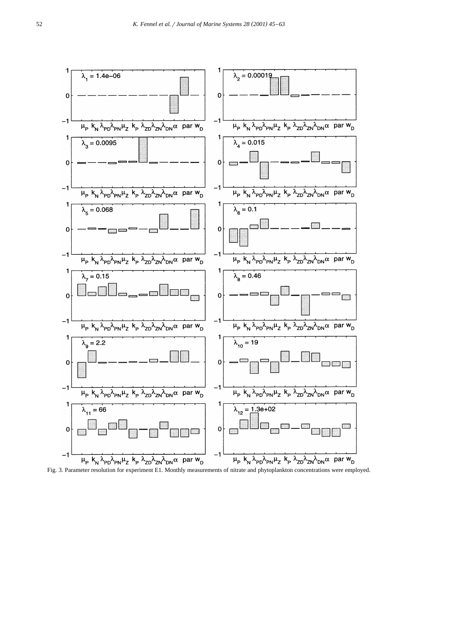

Fig. 3. Parameter resolution for experiment E1. Monthly measurements of nitrate and phytoplankton concentrations were employed.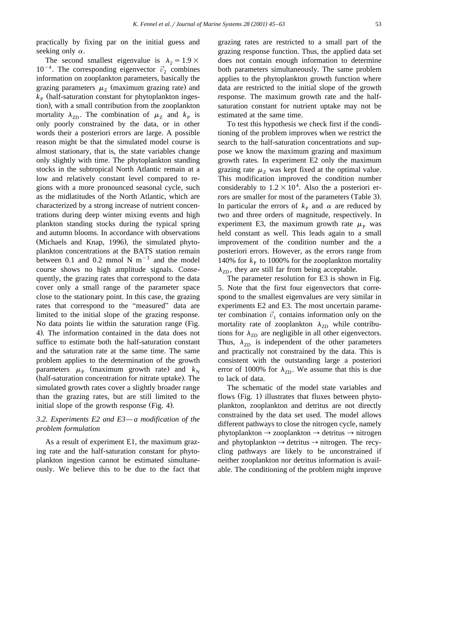practically by fixing par on the initial guess and seeking only  $\alpha$ .

The second smallest eigenvalue is  $\lambda_2 = 1.9 \times 10^{-4}$ . The corresponding eigenvector  $\vec{v}_2$  combines information on zooplankton parameters, basically the grazing parameters  $\mu$ <sub>z</sub> (maximum grazing rate) and  $k_{\rm P}$  (half-saturation constant for phytoplankton ingestion), with a small contribution from the zooplankton mortality  $\lambda_{ZD}$ . The combination of  $\mu_Z$  and  $k_P$  is only poorly constrained by the data, or in other words their a posteriori errors are large. A possible reason might be that the simulated model course is almost stationary, that is, the state variables change only slightly with time. The phytoplankton standing stocks in the subtropical North Atlantic remain at a low and relatively constant level compared to regions with a more pronounced seasonal cycle, such as the midlatitudes of the North Atlantic, which are characterized by a strong increase of nutrient concentrations during deep winter mixing events and high plankton standing stocks during the typical spring and autumn blooms. In accordance with observations (Michaels and Knap, 1996), the simulated phytoplankton concentrations at the BATS station remain between 0.1 and 0.2 mmol N  $m^{-3}$  and the model course shows no high amplitude signals. Consequently, the grazing rates that correspond to the data cover only a small range of the parameter space close to the stationary point. In this case, the grazing rates that correspond to the "measured" data are limited to the initial slope of the grazing response. No data points lie within the saturation range (Fig. 4). The information contained in the data does not suffice to estimate both the half-saturation constant and the saturation rate at the same time. The same problem applies to the determination of the growth parameters  $\mu_{\rm p}$  (maximum growth rate) and  $k_{\rm N}$ (half-saturation concentration for nitrate uptake). The simulated growth rates cover a slightly broader range than the grazing rates, but are still limited to the initial slope of the growth response  $(Fig. 4)$ .

# *3.2. Experiments E2 and E3— a modification of the problem formulation*

As a result of experiment E1, the maximum grazing rate and the half-saturation constant for phytoplankton ingestion cannot be estimated simultaneously. We believe this to be due to the fact that grazing rates are restricted to a small part of the grazing response function. Thus, the applied data set does not contain enough information to determine both parameters simultaneously. The same problem applies to the phytoplankton growth function where data are restricted to the initial slope of the growth response. The maximum growth rate and the halfsaturation constant for nutrient uptake may not be estimated at the same time.

To test this hypothesis we check first if the conditioning of the problem improves when we restrict the search to the half-saturation concentrations and suppose we know the maximum grazing and maximum growth rates. In experiment E2 only the maximum grazing rate  $\mu$ <sub>7</sub> was kept fixed at the optimal value. This modification improved the condition number considerably to  $1.2 \times 10^4$ . Also the a posteriori errors are smaller for most of the parameters (Table 3). In particular the errors of  $k_{\text{P}}$  and  $\alpha$  are reduced by two and three orders of magnitude, respectively. In experiment E3, the maximum growth rate  $\mu_{\rm p}$  was held constant as well. This leads again to a small improvement of the condition number and the a posteriori errors. However, as the errors range from 140% for  $k_{\rm P}$  to 1000% for the zooplankton mortality  $\lambda_{\rm ZD}$ , they are still far from being acceptable.

The parameter resolution for E3 is shown in Fig. 5. Note that the first four eigenvectors that correspond to the smallest eigenvalues are very similar in experiments E2 and E3. The most uncertain parame-<br>ter combination  $\vec{v}_1$  contains information only on the mortality rate of zooplankton  $\lambda_{ZD}$  while contributions for  $\lambda_{ZD}$  are negligible in all other eigenvectors. Thus,  $\lambda_{ZD}$  is independent of the other parameters and practically not constrained by the data. This is consistent with the outstanding large a posteriori error of 1000% for  $\lambda_{ZD}$ . We assume that this is due to lack of data.

The schematic of the model state variables and flows (Fig. 1) illustrates that fluxes between phytoplankton, zooplankton and detritus are not directly constrained by the data set used. The model allows different pathways to close the nitrogen cycle, namely phytoplankton  $\rightarrow$  zooplankton  $\rightarrow$  detritus  $\rightarrow$  nitrogen and phytoplankton  $\rightarrow$  detritus  $\rightarrow$  nitrogen. The recycling pathways are likely to be unconstrained if neither zooplankton nor detritus information is available. The conditioning of the problem might improve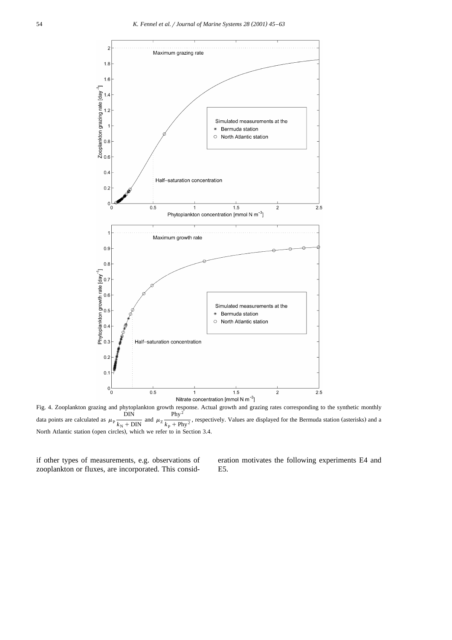

Fig. 4. Zooplankton grazing and phytoplankton growth response. Actual growth and grazing rates corresponding to the synthetic monthly  $\text{DIN}$  Phy<sup>2</sup> data points are calculated as  $\mu_{\rm p} \frac{1}{k_{\rm N} + \text{DIN}}$  and  $\mu_{\rm Z} \frac{1}{k_{\rm p} + \text{Phy}^2}$ , respectively. Values are displayed for the Bermuda station (asterisks) and a North Atlantic station (open circles), which we refer to in Section 3.4.

if other types of measurements, e.g. observations of zooplankton or fluxes, are incorporated. This consideration motivates the following experiments E4 and E5.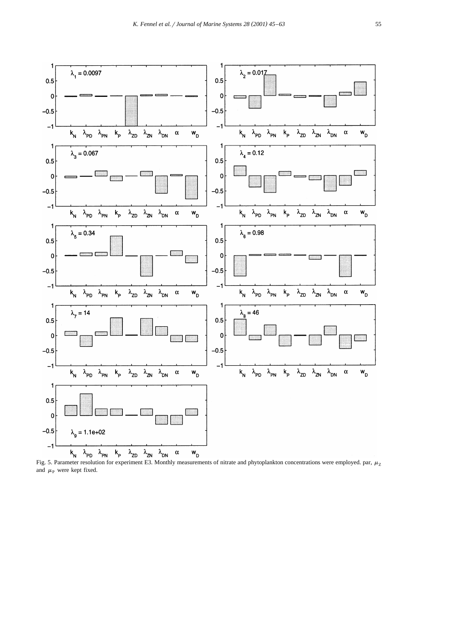

and  $\mu$ <sub>P</sub> were kept fixed.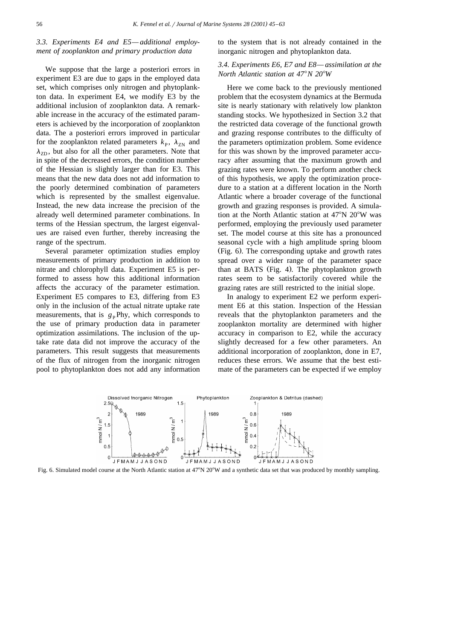# *3.3. Experiments E4 and E5— additional employment of zooplankton and primary production data*

We suppose that the large a posteriori errors in experiment E3 are due to gaps in the employed data set, which comprises only nitrogen and phytoplankton data. In experiment E4, we modify E3 by the additional inclusion of zooplankton data. A remarkable increase in the accuracy of the estimated parameters is achieved by the incorporation of zooplankton data. The a posteriori errors improved in particular for the zooplankton related parameters  $k_{\rm P}$ ,  $\lambda_{\rm ZN}$  and  $\lambda_{ZD}$ , but also for all the other parameters. Note that in spite of the decreased errors, the condition number of the Hessian is slightly larger than for E3. This means that the new data does not add information to the poorly determined combination of parameters which is represented by the smallest eigenvalue. Instead, the new data increase the precision of the already well determined parameter combinations. In terms of the Hessian spectrum, the largest eigenvalues are raised even further, thereby increasing the range of the spectrum.

Several parameter optimization studies employ measurements of primary production in addition to nitrate and chlorophyll data. Experiment E5 is performed to assess how this additional information affects the accuracy of the parameter estimation. Experiment E5 compares to E3, differing from E3 only in the inclusion of the actual nitrate uptake rate measurements, that is  $g_{\text{p}}$ Phy, which corresponds to the use of primary production data in parameter optimization assimilations. The inclusion of the uptake rate data did not improve the accuracy of the parameters. This result suggests that measurements of the flux of nitrogen from the inorganic nitrogen pool to phytoplankton does not add any information to the system that is not already contained in the inorganic nitrogen and phytoplankton data.

# *3.4. Experiments E6, E7 and E8— assimilation at the North Atlantic station at 47*8*N 20*8*W*

Here we come back to the previously mentioned problem that the ecosystem dynamics at the Bermuda site is nearly stationary with relatively low plankton standing stocks. We hypothesized in Section 3.2 that the restricted data coverage of the functional growth and grazing response contributes to the difficulty of the parameters optimization problem. Some evidence for this was shown by the improved parameter accuracy after assuming that the maximum growth and grazing rates were known. To perform another check of this hypothesis, we apply the optimization procedure to a station at a different location in the North Atlantic where a broader coverage of the functional growth and grazing responses is provided. A simulation at the North Atlantic station at  $47^{\circ}$ N  $20^{\circ}$ W was performed, employing the previously used parameter set. The model course at this site has a pronounced seasonal cycle with a high amplitude spring bloom (Fig. 6). The corresponding uptake and growth rates spread over a wider range of the parameter space than at BATS (Fig. 4). The phytoplankton growth rates seem to be satisfactorily covered while the grazing rates are still restricted to the initial slope.

In analogy to experiment E2 we perform experiment E6 at this station. Inspection of the Hessian reveals that the phytoplankton parameters and the zooplankton mortality are determined with higher accuracy in comparison to E2, while the accuracy slightly decreased for a few other parameters. An additional incorporation of zooplankton, done in E7, reduces these errors. We assume that the best estimate of the parameters can be expected if we employ



Fig. 6. Simulated model course at the North Atlantic station at 47°N 20°W and a synthetic data set that was produced by monthly sampling.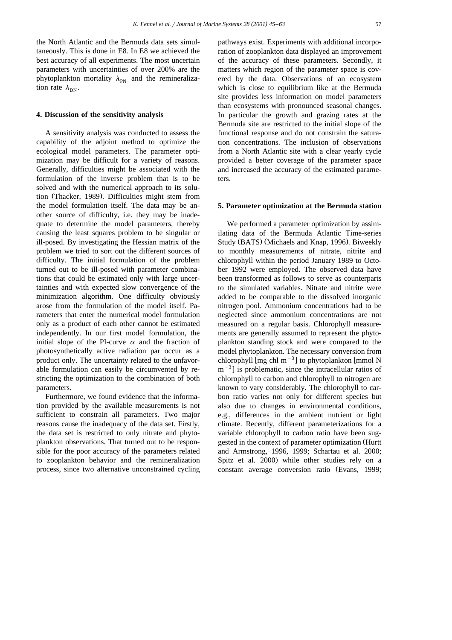the North Atlantic and the Bermuda data sets simultaneously. This is done in E8. In E8 we achieved the best accuracy of all experiments. The most uncertain parameters with uncertainties of over 200% are the phytoplankton mortality  $\lambda_{\rm PN}$  and the remineralization rate  $\lambda_{\rm NN}$ .

#### **4. Discussion of the sensitivity analysis**

A sensitivity analysis was conducted to assess the capability of the adjoint method to optimize the ecological model parameters. The parameter optimization may be difficult for a variety of reasons. Generally, difficulties might be associated with the formulation of the inverse problem that is to be solved and with the numerical approach to its solution (Thacker, 1989). Difficulties might stem from the model formulation itself. The data may be another source of difficulty, i.e. they may be inadequate to determine the model parameters, thereby causing the least squares problem to be singular or ill-posed. By investigating the Hessian matrix of the problem we tried to sort out the different sources of difficulty. The initial formulation of the problem turned out to be ill-posed with parameter combinations that could be estimated only with large uncertainties and with expected slow convergence of the minimization algorithm. One difficulty obviously arose from the formulation of the model itself. Parameters that enter the numerical model formulation only as a product of each other cannot be estimated independently. In our first model formulation, the initial slope of the PI-curve  $\alpha$  and the fraction of photosynthetically active radiation par occur as a product only. The uncertainty related to the unfavorable formulation can easily be circumvented by restricting the optimization to the combination of both parameters.

Furthermore, we found evidence that the information provided by the available measurements is not sufficient to constrain all parameters. Two major reasons cause the inadequacy of the data set. Firstly, the data set is restricted to only nitrate and phytoplankton observations. That turned out to be responsible for the poor accuracy of the parameters related to zooplankton behavior and the remineralization process, since two alternative unconstrained cycling

pathways exist. Experiments with additional incorporation of zooplankton data displayed an improvement of the accuracy of these parameters. Secondly, it matters which region of the parameter space is covered by the data. Observations of an ecosystem which is close to equilibrium like at the Bermuda site provides less information on model parameters than ecosystems with pronounced seasonal changes. In particular the growth and grazing rates at the Bermuda site are restricted to the initial slope of the functional response and do not constrain the saturation concentrations. The inclusion of observations from a North Atlantic site with a clear yearly cycle provided a better coverage of the parameter space and increased the accuracy of the estimated parameters.

### **5. Parameter optimization at the Bermuda station**

We performed a parameter optimization by assimilating data of the Bermuda Atlantic Time-series Study (BATS) (Michaels and Knap, 1996). Biweekly to monthly measurements of nitrate, nitrite and chlorophyll within the period January 1989 to October 1992 were employed. The observed data have been transformed as follows to serve as counterparts to the simulated variables. Nitrate and nitrite were added to be comparable to the dissolved inorganic nitrogen pool. Ammonium concentrations had to be neglected since ammonium concentrations are not measured on a regular basis. Chlorophyll measurements are generally assumed to represent the phytoplankton standing stock and were compared to the model phytoplankton. The necessary conversion from chlorophyll  $\text{[mg chl m}^{-3} \text{]}$  to phytoplankton  $\text{[mmol N m}^{-3} \text{]}$  is problematic, since the intracellular ratios of chlorophyll to carbon and chlorophyll to nitrogen are known to vary considerably. The chlorophyll to carbon ratio varies not only for different species but also due to changes in environmental conditions, e.g., differences in the ambient nutrient or light climate. Recently, different parameterizations for a variable chlorophyll to carbon ratio have been suggested in the context of parameter optimization (Hurtt and Armstrong, 1996, 1999; Schartau et al. 2000; Spitz et al. 2000) while other studies rely on a constant average conversion ratio (Evans, 1999;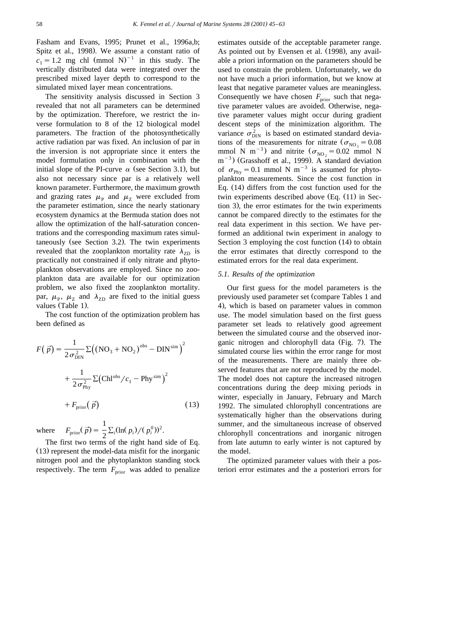Fasham and Evans, 1995; Prunet et al., 1996a,b; Spitz et al., 1998). We assume a constant ratio of  $c_1 = 1.2$  mg chl (mmol N)<sup>-1</sup> in this study. The vertically distributed data were integrated over the prescribed mixed layer depth to correspond to the simulated mixed layer mean concentrations.

The sensitivity analysis discussed in Section 3 revealed that not all parameters can be determined by the optimization. Therefore, we restrict the inverse formulation to 8 of the 12 biological model parameters. The fraction of the photosynthetically active radiation par was fixed. An inclusion of par in the inversion is not appropriate since it enters the model formulation only in combination with the initial slope of the PI-curve  $\alpha$  (see Section 3.1), but also not necessary since par is a relatively well known parameter. Furthermore, the maximum growth and grazing rates  $\mu_{\rm P}$  and  $\mu_{\rm Z}$  were excluded from the parameter estimation, since the nearly stationary ecosystem dynamics at the Bermuda station does not allow the optimization of the half-saturation concentrations and the corresponding maximum rates simultaneously (see Section 3.2). The twin experiments revealed that the zooplankton mortality rate  $\lambda_{ZD}$  is practically not constrained if only nitrate and phytoplankton observations are employed. Since no zooplankton data are available for our optimization problem, we also fixed the zooplankton mortality. par,  $\mu_{\rm p}$ ,  $\mu_{\rm Z}$  and  $\lambda_{\rm ZD}$  are fixed to the initial guess values (Table 1).

The cost function of the optimization problem has been defined as

$$
F(\vec{p}) = \frac{1}{2\sigma_{\text{DIN}}^2} \Sigma ((NO_3 + NO_2)^{\text{obs}} - DIN^{\text{sim}})^2
$$

$$
+ \frac{1}{2\sigma_{\text{Phy}}^2} \Sigma (Chl^{\text{obs}}/c_1 - Phy^{\text{sim}})^2
$$

$$
+ F_{\text{prior}}(\vec{p})
$$
(13)

where  $F_{\text{prior}}(\vec{p}) = \frac{1}{2} \sum_{i} (\ln(p_i) / (p_i^0))^2$ .

The first two terms of the right hand side of Eq.  $(13)$  represent the model-data misfit for the inorganic nitrogen pool and the phytoplankton standing stock respectively. The term  $F_{\text{prior}}$  was added to penalize estimates outside of the acceptable parameter range. As pointed out by Evensen et al. (1998), any available a priori information on the parameters should be used to constrain the problem. Unfortunately, we do not have much a priori information, but we know at least that negative parameter values are meaningless. Consequently we have chosen  $F_{\text{prior}}$  such that negative parameter values are avoided. Otherwise, negative parameter values might occur during gradient descent steps of the minimization algorithm. The variance  $\sigma_{\text{DIN}}^2$  is based on estimated standard devia-<br>tions of the measurements for nitrate ( $\sigma_{\text{NO}_2} = 0.08$ ) mmol N m<sup>-3</sup>) and nitrite  $(\sigma_{NO_2} = 0.02 \text{ mmol N}$ <br>m<sup>-3</sup>) (Grasshoff et al., 1999). A standard deviation of  $\sigma_{\text{Phy}} = 0.1$  mmol N m<sup>-3</sup> is assumed for phytoplankton measurements. Since the cost function in Eq.  $(14)$  differs from the cost function used for the twin experiments described above  $(Eq. (11)$  in Section 3), the error estimates for the twin experiments cannot be compared directly to the estimates for the real data experiment in this section. We have performed an additional twin experiment in analogy to Section 3 employing the cost function  $(14)$  to obtain the error estimates that directly correspond to the estimated errors for the real data experiment.

# *5.1. Results of the optimization*

Our first guess for the model parameters is the previously used parameter set (compare Tables 1 and 4), which is based on parameter values in common use. The model simulation based on the first guess parameter set leads to relatively good agreement between the simulated course and the observed inorganic nitrogen and chlorophyll data (Fig. 7). The simulated course lies within the error range for most of the measurements. There are mainly three observed features that are not reproduced by the model. The model does not capture the increased nitrogen concentrations during the deep mixing periods in winter, especially in January, February and March 1992. The simulated chlorophyll concentrations are systematically higher than the observations during summer, and the simultaneous increase of observed chlorophyll concentrations and inorganic nitrogen from late autumn to early winter is not captured by the model.

The optimized parameter values with their a posteriori error estimates and the a posteriori errors for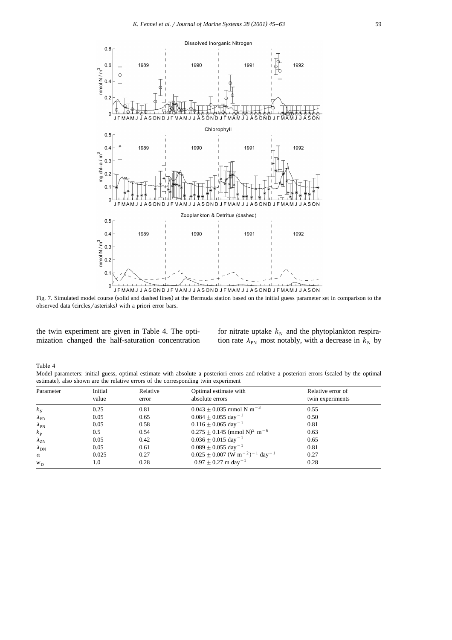

Fig. 7. Simulated model course (solid and dashed lines) at the Bermuda station based on the initial guess parameter set in comparison to the observed data (circles/asterisks) with a priori error bars.

the twin experiment are given in Table 4. The optimization changed the half-saturation concentration for nitrate uptake  $k_N$  and the phytoplankton respiration rate  $\lambda_{PN}$  most notably, with a decrease in  $k_N$  by

Table 4

Model parameters: initial guess, optimal estimate with absolute a posteriori errors and relative a posteriori errors (scaled by the optimal estimate), also shown are the relative errors of the corresponding twin experiment

| Parameter          | Initial<br>Relative |       | Optimal estimate with                                                  | Relative error of |  |
|--------------------|---------------------|-------|------------------------------------------------------------------------|-------------------|--|
|                    | value               | error | absolute errors                                                        | twin experiments  |  |
| $k_{\rm N}$        | 0.25                | 0.81  | $0.043 + 0.035$ mmol N m <sup>-3</sup>                                 | 0.55              |  |
| $\lambda_{\rm PD}$ | 0.05                | 0.65  | $0.084 \pm 0.055$ day <sup>-1</sup>                                    | 0.50              |  |
| $\lambda_{\rm PN}$ | 0.05                | 0.58  | $0.116 \pm 0.065$ day <sup>-1</sup>                                    | 0.81              |  |
| $k_{\rm P}$        | $0.5^{\circ}$       | 0.54  | $0.275 \pm 0.145$ (mmol N) <sup>2</sup> m <sup>-6</sup>                | 0.63              |  |
| $\lambda_{ZN}$     | 0.05                | 0.42  | $0.036 \pm 0.015$ day <sup>-1</sup>                                    | 0.65              |  |
| $\lambda_{\rm DN}$ | 0.05                | 0.61  | $0.089 \pm 0.055$ day <sup>-1</sup>                                    | 0.81              |  |
| $\alpha$           | 0.025               | 0.27  | $0.025 \pm 0.007$ (W m <sup>-2</sup> ) <sup>-1</sup> day <sup>-1</sup> | 0.27              |  |
| $W_D$              | 1.0                 | 0.28  | $0.97 + 0.27$ m day <sup>-1</sup>                                      | 0.28              |  |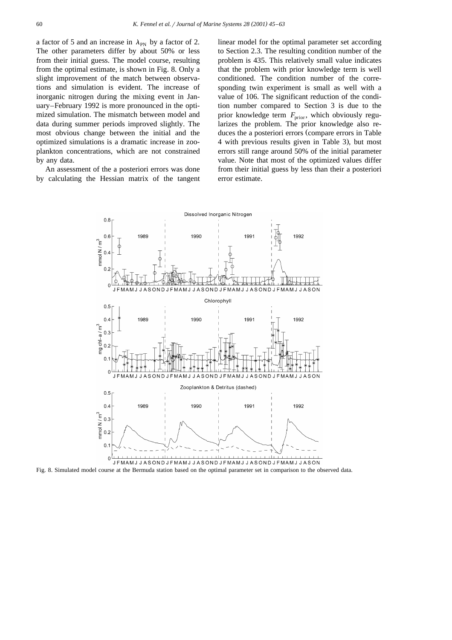a factor of 5 and an increase in  $\lambda_{PN}$  by a factor of 2. The other parameters differ by about 50% or less from their initial guess. The model course, resulting from the optimal estimate, is shown in Fig. 8. Only a slight improvement of the match between observations and simulation is evident. The increase of inorganic nitrogen during the mixing event in January–February 1992 is more pronounced in the optimized simulation. The mismatch between model and data during summer periods improved slightly. The most obvious change between the initial and the optimized simulations is a dramatic increase in zooplankton concentrations, which are not constrained by any data.

An assessment of the a posteriori errors was done by calculating the Hessian matrix of the tangent

linear model for the optimal parameter set according to Section 2.3. The resulting condition number of the problem is 435. This relatively small value indicates that the problem with prior knowledge term is well conditioned. The condition number of the corresponding twin experiment is small as well with a value of 106. The significant reduction of the condition number compared to Section 3 is due to the prior knowledge term  $F_{\text{prior}}$ , which obviously regularizes the problem. The prior knowledge also reduces the a posteriori errors (compare errors in Table 4 with previous results given in Table 3), but most errors still range around 50% of the initial parameter value. Note that most of the optimized values differ from their initial guess by less than their a posteriori error estimate.



Fig. 8. Simulated model course at the Bermuda station based on the optimal parameter set in comparison to the observed data.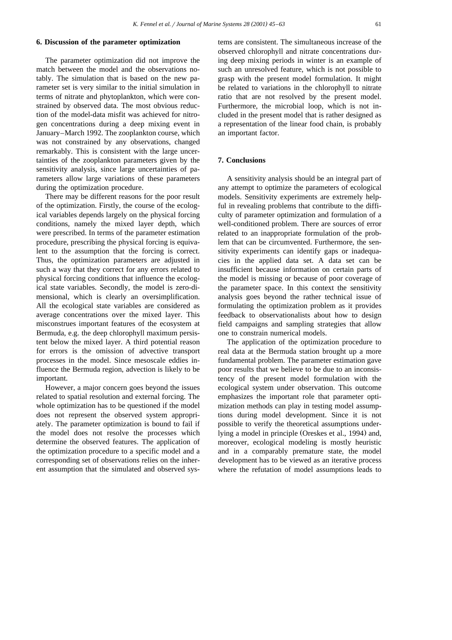## **6. Discussion of the parameter optimization**

The parameter optimization did not improve the match between the model and the observations notably. The simulation that is based on the new parameter set is very similar to the initial simulation in terms of nitrate and phytoplankton, which were constrained by observed data. The most obvious reduction of the model-data misfit was achieved for nitrogen concentrations during a deep mixing event in January–March 1992. The zooplankton course, which was not constrained by any observations, changed remarkably. This is consistent with the large uncertainties of the zooplankton parameters given by the sensitivity analysis, since large uncertainties of parameters allow large variations of these parameters during the optimization procedure.

There may be different reasons for the poor result of the optimization. Firstly, the course of the ecological variables depends largely on the physical forcing conditions, namely the mixed layer depth, which were prescribed. In terms of the parameter estimation procedure, prescribing the physical forcing is equivalent to the assumption that the forcing is correct. Thus, the optimization parameters are adjusted in such a way that they correct for any errors related to physical forcing conditions that influence the ecological state variables. Secondly, the model is zero-dimensional, which is clearly an oversimplification. All the ecological state variables are considered as average concentrations over the mixed layer. This misconstrues important features of the ecosystem at Bermuda, e.g. the deep chlorophyll maximum persistent below the mixed layer. A third potential reason for errors is the omission of advective transport processes in the model. Since mesoscale eddies influence the Bermuda region, advection is likely to be important.

However, a major concern goes beyond the issues related to spatial resolution and external forcing. The whole optimization has to be questioned if the model does not represent the observed system appropriately. The parameter optimization is bound to fail if the model does not resolve the processes which determine the observed features. The application of the optimization procedure to a specific model and a corresponding set of observations relies on the inherent assumption that the simulated and observed systems are consistent. The simultaneous increase of the observed chlorophyll and nitrate concentrations during deep mixing periods in winter is an example of such an unresolved feature, which is not possible to grasp with the present model formulation. It might be related to variations in the chlorophyll to nitrate ratio that are not resolved by the present model. Furthermore, the microbial loop, which is not included in the present model that is rather designed as a representation of the linear food chain, is probably an important factor.

### **7. Conclusions**

A sensitivity analysis should be an integral part of any attempt to optimize the parameters of ecological models. Sensitivity experiments are extremely helpful in revealing problems that contribute to the difficulty of parameter optimization and formulation of a well-conditioned problem. There are sources of error related to an inappropriate formulation of the problem that can be circumvented. Furthermore, the sensitivity experiments can identify gaps or inadequacies in the applied data set. A data set can be insufficient because information on certain parts of the model is missing or because of poor coverage of the parameter space. In this context the sensitivity analysis goes beyond the rather technical issue of formulating the optimization problem as it provides feedback to observationalists about how to design field campaigns and sampling strategies that allow one to constrain numerical models.

The application of the optimization procedure to real data at the Bermuda station brought up a more fundamental problem. The parameter estimation gave poor results that we believe to be due to an inconsistency of the present model formulation with the ecological system under observation. This outcome emphasizes the important role that parameter optimization methods can play in testing model assumptions during model development. Since it is not possible to verify the theoretical assumptions underlying a model in principle (Oreskes et al., 1994) and, moreover, ecological modeling is mostly heuristic and in a comparably premature state, the model development has to be viewed as an iterative process where the refutation of model assumptions leads to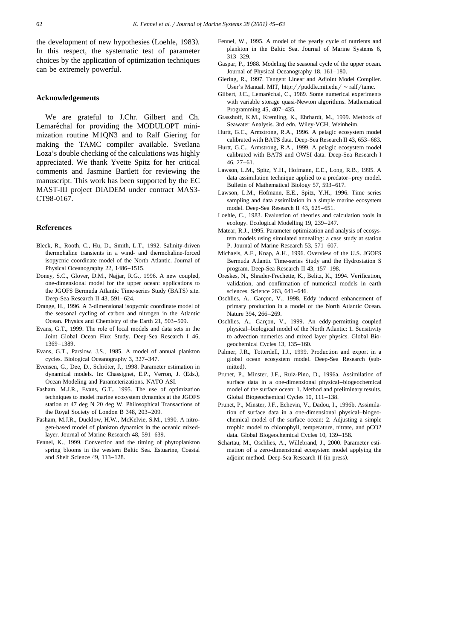the development of new hypothesies (Loehle, 1983). In this respect, the systematic test of parameter choices by the application of optimization techniques can be extremely powerful.

### **Acknowledgements**

We are grateful to J.Chr. Gilbert and Ch. Lemaréchal for providing the MODULOPT minimization routine M1QN3 and to Ralf Giering for making the TAMC compiler available. Svetlana Loza's double checking of the calculations was highly appreciated. We thank Yvette Spitz for her critical comments and Jasmine Bartlett for reviewing the manuscript. This work has been supported by the EC MAST-III project DIADEM under contract MAS3- CT98-0167.

### **References**

- Bleck, R., Rooth, C., Hu, D., Smith, L.T., 1992. Salinity-driven thermohaline transients in a wind- and thermohaline-forced isopycnic coordinate model of the North Atlantic. Journal of Physical Oceanography 22, 1486–1515.
- Doney, S.C., Glover, D.M., Najjar, R.G., 1996. A new coupled, one-dimensional model for the upper ocean: applications to the JGOFS Bermuda Atlantic Time-series Study (BATS) site. Deep-Sea Research II 43, 591–624.
- Drange, H., 1996. A 3-dimensional isopycnic coordinate model of the seasonal cycling of carbon and nitrogen in the Atlantic Ocean. Physics and Chemistry of the Earth 21, 503–509.
- Evans, G.T., 1999. The role of local models and data sets in the Joint Global Ocean Flux Study. Deep-Sea Research I 46, 1369–1389.
- Evans, G.T., Parslow, J.S., 1985. A model of annual plankton cycles. Biological Oceanography 3, 327–347.
- Evensen, G., Dee, D., Schröter, J., 1998. Parameter estimation in dynamical models. In: Chassignet, E.P., Verron, J. (Eds.), Ocean Modeling and Parameterizations. NATO ASI.
- Fasham, M.J.R., Evans, G.T., 1995. The use of optimization techniques to model marine ecosystem dynamics at the JGOFS station at 47 deg N 20 deg W. Philosophical Transactions of the Royal Society of London B 348, 203–209.
- Fasham, M.J.R., Ducklow, H.W., McKelvie, S.M., 1990. A nitrogen-based model of plankton dynamics in the oceanic mixedlayer. Journal of Marine Research 48, 591–639.
- Fennel, K., 1999. Convection and the timing of phytoplankton spring blooms in the western Baltic Sea. Estuarine, Coastal and Shelf Science 49, 113–128.
- Fennel, W., 1995. A model of the yearly cycle of nutrients and plankton in the Baltic Sea. Journal of Marine Systems 6, 313–329.
- Gaspar, P., 1988. Modeling the seasonal cycle of the upper ocean. Journal of Physical Oceanography 18, 161–180.
- Giering, R., 1997. Tangent Linear and Adjoint Model Compiler. User's Manual. MIT, http://puddle.mit.edu/  $\sim$  ralf/tamc.
- Gilbert, J.C., Lemaréchal, C., 1989. Some numerical experiments with variable storage quasi-Newton algorithms. Mathematical Programming 45, 407–435.
- Grasshoff, K.M., Kremling, K., Ehrhardt, M., 1999. Methods of Seawater Analysis. 3rd edn. Wiley-VCH, Weinheim.
- Hurtt, G.C., Armstrong, R.A., 1996. A pelagic ecosystem model calibrated with BATS data. Deep-Sea Research II 43, 653–683.
- Hurtt, G.C., Armstrong, R.A., 1999. A pelagic ecosystem model calibrated with BATS and OWSI data. Deep-Sea Research I 46, 27–61.
- Lawson, L.M., Spitz, Y.H., Hofmann, E.E., Long, R.B., 1995. A data assimilation technique applied to a predator–prey model. Bulletin of Mathematical Biology 57, 593–617.
- Lawson, L.M., Hofmann, E.E., Spitz, Y.H., 1996. Time series sampling and data assimilation in a simple marine ecosystem model. Deep-Sea Research II 43, 625–651.
- Loehle, C., 1983. Evaluation of theories and calculation tools in ecology. Ecological Modelling 19, 239–247.
- Matear, R.J., 1995. Parameter optimization and analysis of ecosystem models using simulated annealing: a case study at station P. Journal of Marine Research 53, 571–607.
- Michaels, A.F., Knap, A.H., 1996. Overview of the U.S. JGOFS Bermuda Atlantic Time-series Study and the Hydrostation S program. Deep-Sea Research II 43, 157–198.
- Oreskes, N., Shrader-Frechette, K., Belitz, K., 1994. Verification, validation, and confirmation of numerical models in earth sciences. Science 263, 641–646.
- Oschlies, A., Garçon, V., 1998. Eddy induced enhancement of primary production in a model of the North Atlantic Ocean. Nature 394, 266–269.
- Oschlies, A., Garçon, V., 1999. An eddy-permitting coupled physical–biological model of the North Atlantic: 1. Sensitivity to advection numerics and mixed layer physics. Global Biogeochemical Cycles 13, 135–160.
- Palmer, J.R., Totterdell, I.J., 1999. Production and export in a global ocean ecosystem model. Deep-Sea Research (submitted).
- Prunet, P., Minster, J.F., Ruiz-Pino, D., 1996a. Assimilation of surface data in a one-dimensional physical–biogeochemical model of the surface ocean: 1. Method and preliminary results. Global Biogeochemical Cycles 10, 111–138.
- Prunet, P., Minster, J.F., Echevin, V., Dadou, I., 1996b. Assimilation of surface data in a one-dimensional physical–biogeochemical model of the surface ocean: 2. Adjusting a simple trophic model to chlorophyll, temperature, nitrate, and pCO2 data. Global Biogeochemical Cycles 10, 139–158.
- Schartau, M., Oschlies, A., Willebrand, J., 2000. Parameter estimation of a zero-dimensional ecosystem model applying the adjoint method. Deep-Sea Research II (in press).